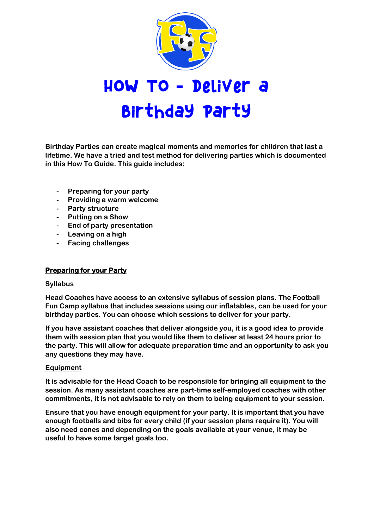

**Birthday Parties can create magical moments and memories for children that last a lifetime. We have a tried and test method for delivering parties which is documented in this How To Guide. This guide includes:**

- **- Preparing for your party**
- **- Providing a warm welcome**
- **- Party structure**
- **- Putting on a Show**
- **- End of party presentation**
- **- Leaving on a high**
- **- Facing challenges**

# **Preparing for your Party**

### **Syllabus**

**Head Coaches have access to an extensive syllabus of session plans. The Football Fun Camp syllabus that includes sessions using our inflatables, can be used for your birthday parties. You can choose which sessions to deliver for your party.** 

**If you have assistant coaches that deliver alongside you, it is a good idea to provide them with session plan that you would like them to deliver at least 24 hours prior to the party. This will allow for adequate preparation time and an opportunity to ask you any questions they may have.**

### **Equipment**

**It is advisable for the Head Coach to be responsible for bringing all equipment to the session. As many assistant coaches are part-time self-employed coaches with other commitments, it is not advisable to rely on them to being equipment to your session.** 

**Ensure that you have enough equipment for your party. It is important that you have enough footballs and bibs for every child (if your session plans require it). You will also need cones and depending on the goals available at your venue, it may be useful to have some target goals too.**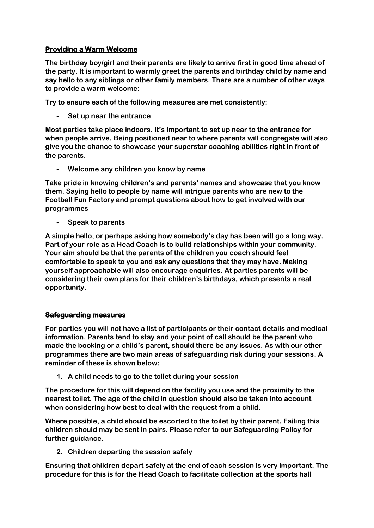# **Providing a Warm Welcome**

**The birthday boy/girl and their parents are likely to arrive first in good time ahead of the party. It is important to warmly greet the parents and birthday child by name and say hello to any siblings or other family members. There are a number of other ways to provide a warm welcome:**

**Try to ensure each of the following measures are met consistently:**

**- Set up near the entrance**

**Most parties take place indoors. It's important to set up near to the entrance for when people arrive. Being positioned near to where parents will congregate will also give you the chance to showcase your superstar coaching abilities right in front of the parents.** 

**- Welcome any children you know by name**

**Take pride in knowing children's and parents' names and showcase that you know them. Saying hello to people by name will intrigue parents who are new to the Football Fun Factory and prompt questions about how to get involved with our programmes**

**- Speak to parents**

**A simple hello, or perhaps asking how somebody's day has been will go a long way. Part of your role as a Head Coach is to build relationships within your community. Your aim should be that the parents of the children you coach should feel comfortable to speak to you and ask any questions that they may have. Making yourself approachable will also encourage enquiries. At parties parents will be considering their own plans for their children's birthdays, which presents a real opportunity.** 

# **Safeguarding measures**

**For parties you will not have a list of participants or their contact details and medical information. Parents tend to stay and your point of call should be the parent who made the booking or a child's parent, should there be any issues. As with our other programmes there are two main areas of safeguarding risk during your sessions. A reminder of these is shown below:**

**1. A child needs to go to the toilet during your session**

**The procedure for this will depend on the facility you use and the proximity to the nearest toilet. The age of the child in question should also be taken into account when considering how best to deal with the request from a child.**

**Where possible, a child should be escorted to the toilet by their parent. Failing this children should may be sent in pairs. Please refer to our Safeguarding Policy for further guidance.**

**2. Children departing the session safely**

**Ensuring that children depart safely at the end of each session is very important. The procedure for this is for the Head Coach to facilitate collection at the sports hall**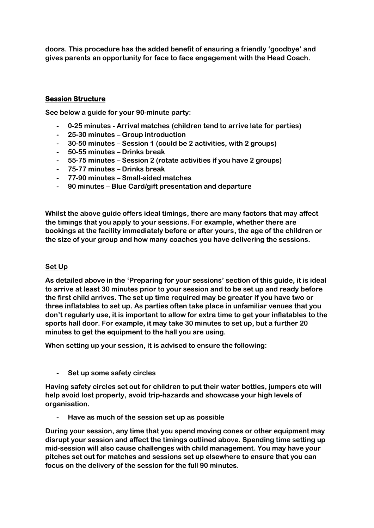**doors. This procedure has the added benefit of ensuring a friendly 'goodbye' and gives parents an opportunity for face to face engagement with the Head Coach.**

# **Session Structure**

**See below a guide for your 90-minute party:**

- **- 0-25 minutes - Arrival matches (children tend to arrive late for parties)**
- **- 25-30 minutes – Group introduction**
- **- 30-50 minutes – Session 1 (could be 2 activities, with 2 groups)**
- **- 50-55 minutes – Drinks break**
- **- 55-75 minutes – Session 2 (rotate activities if you have 2 groups)**
- **- 75-77 minutes – Drinks break**
- **- 77-90 minutes – Small-sided matches**
- **- 90 minutes – Blue Card/gift presentation and departure**

**Whilst the above guide offers ideal timings, there are many factors that may affect the timings that you apply to your sessions. For example, whether there are bookings at the facility immediately before or after yours, the age of the children or the size of your group and how many coaches you have delivering the sessions.**

### **Set Up**

**As detailed above in the 'Preparing for your sessions' section of this guide, it is ideal to arrive at least 30 minutes prior to your session and to be set up and ready before the first child arrives. The set up time required may be greater if you have two or three inflatables to set up. As parties often take place in unfamiliar venues that you don't regularly use, it is important to allow for extra time to get your inflatables to the sports hall door. For example, it may take 30 minutes to set up, but a further 20 minutes to get the equipment to the hall you are using.**

**When setting up your session, it is advised to ensure the following:**

**- Set up some safety circles**

**Having safety circles set out for children to put their water bottles, jumpers etc will help avoid lost property, avoid trip-hazards and showcase your high levels of organisation.**

**- Have as much of the session set up as possible**

**During your session, any time that you spend moving cones or other equipment may disrupt your session and affect the timings outlined above. Spending time setting up mid-session will also cause challenges with child management. You may have your pitches set out for matches and sessions set up elsewhere to ensure that you can focus on the delivery of the session for the full 90 minutes.**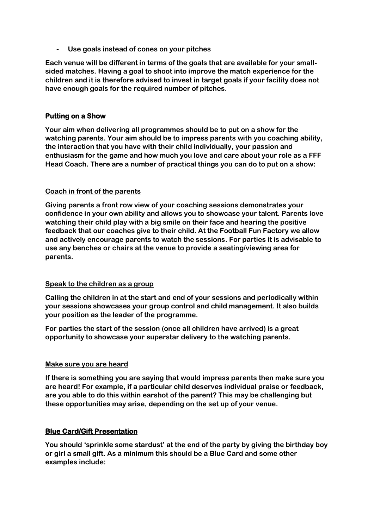**- Use goals instead of cones on your pitches**

**Each venue will be different in terms of the goals that are available for your smallsided matches. Having a goal to shoot into improve the match experience for the children and it is therefore advised to invest in target goals if your facility does not have enough goals for the required number of pitches.**

### **Putting on a Show**

**Your aim when delivering all programmes should be to put on a show for the watching parents. Your aim should be to impress parents with you coaching ability, the interaction that you have with their child individually, your passion and enthusiasm for the game and how much you love and care about your role as a FFF Head Coach. There are a number of practical things you can do to put on a show:**

### **Coach in front of the parents**

**Giving parents a front row view of your coaching sessions demonstrates your confidence in your own ability and allows you to showcase your talent. Parents love watching their child play with a big smile on their face and hearing the positive feedback that our coaches give to their child. At the Football Fun Factory we allow and actively encourage parents to watch the sessions. For parties it is advisable to use any benches or chairs at the venue to provide a seating/viewing area for parents.**

### **Speak to the children as a group**

**Calling the children in at the start and end of your sessions and periodically within your sessions showcases your group control and child management. It also builds your position as the leader of the programme.**

**For parties the start of the session (once all children have arrived) is a great opportunity to showcase your superstar delivery to the watching parents.**

### **Make sure you are heard**

**If there is something you are saying that would impress parents then make sure you are heard! For example, if a particular child deserves individual praise or feedback, are you able to do this within earshot of the parent? This may be challenging but these opportunities may arise, depending on the set up of your venue.**

### **Blue Card/Gift Presentation**

**You should 'sprinkle some stardust' at the end of the party by giving the birthday boy or girl a small gift. As a minimum this should be a Blue Card and some other examples include:**